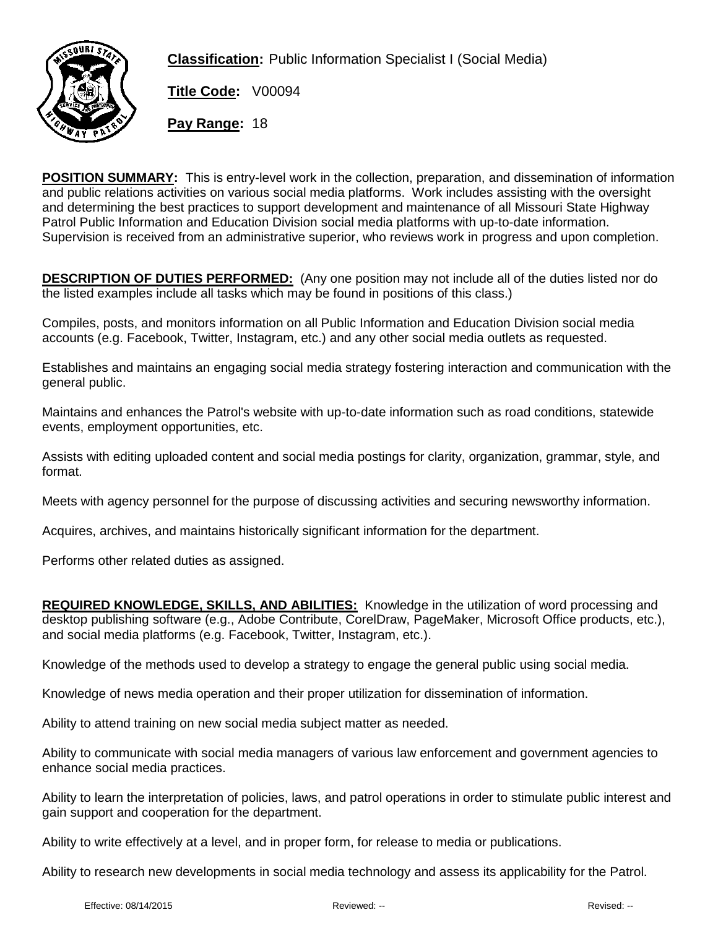

**Classification:** Public Information Specialist I (Social Media)

**Title Code:** V00094

**Pay Range:** 18

**POSITION SUMMARY:** This is entry-level work in the collection, preparation, and dissemination of information and public relations activities on various social media platforms. Work includes assisting with the oversight and determining the best practices to support development and maintenance of all Missouri State Highway Patrol Public Information and Education Division social media platforms with up-to-date information. Supervision is received from an administrative superior, who reviews work in progress and upon completion.

**DESCRIPTION OF DUTIES PERFORMED:** (Any one position may not include all of the duties listed nor do the listed examples include all tasks which may be found in positions of this class.)

Compiles, posts, and monitors information on all Public Information and Education Division social media accounts (e.g. Facebook, Twitter, Instagram, etc.) and any other social media outlets as requested.

Establishes and maintains an engaging social media strategy fostering interaction and communication with the general public.

Maintains and enhances the Patrol's website with up-to-date information such as road conditions, statewide events, employment opportunities, etc.

Assists with editing uploaded content and social media postings for clarity, organization, grammar, style, and format.

Meets with agency personnel for the purpose of discussing activities and securing newsworthy information.

Acquires, archives, and maintains historically significant information for the department.

Performs other related duties as assigned.

**REQUIRED KNOWLEDGE, SKILLS, AND ABILITIES:** Knowledge in the utilization of word processing and desktop publishing software (e.g., Adobe Contribute, CorelDraw, PageMaker, Microsoft Office products, etc.), and social media platforms (e.g. Facebook, Twitter, Instagram, etc.).

Knowledge of the methods used to develop a strategy to engage the general public using social media.

Knowledge of news media operation and their proper utilization for dissemination of information.

Ability to attend training on new social media subject matter as needed.

Ability to communicate with social media managers of various law enforcement and government agencies to enhance social media practices.

Ability to learn the interpretation of policies, laws, and patrol operations in order to stimulate public interest and gain support and cooperation for the department.

Ability to write effectively at a level, and in proper form, for release to media or publications.

Ability to research new developments in social media technology and assess its applicability for the Patrol.